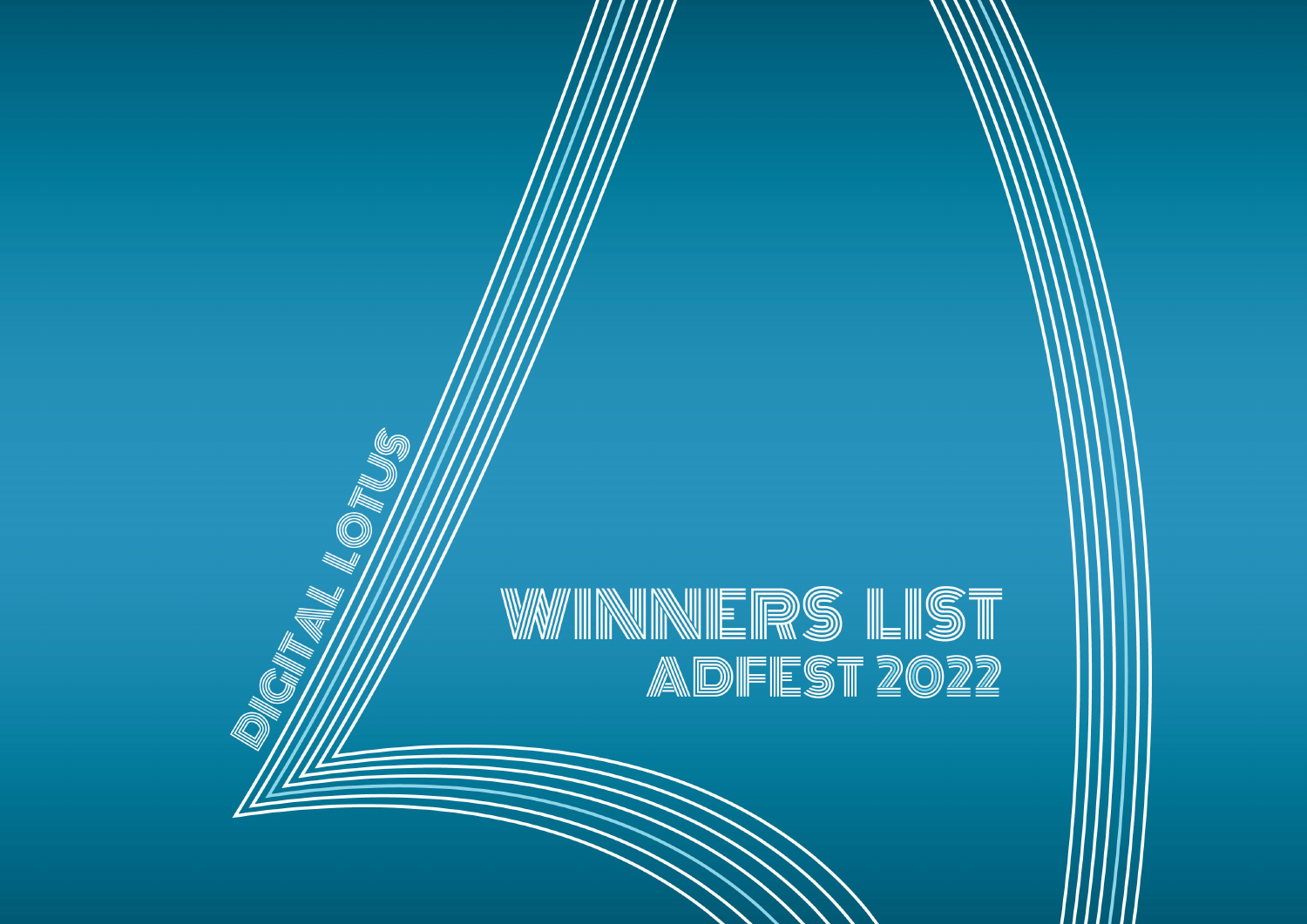# W/WINNERS LIST ADFEST 2022

**FRIEDRICHANDEL** 

(Ur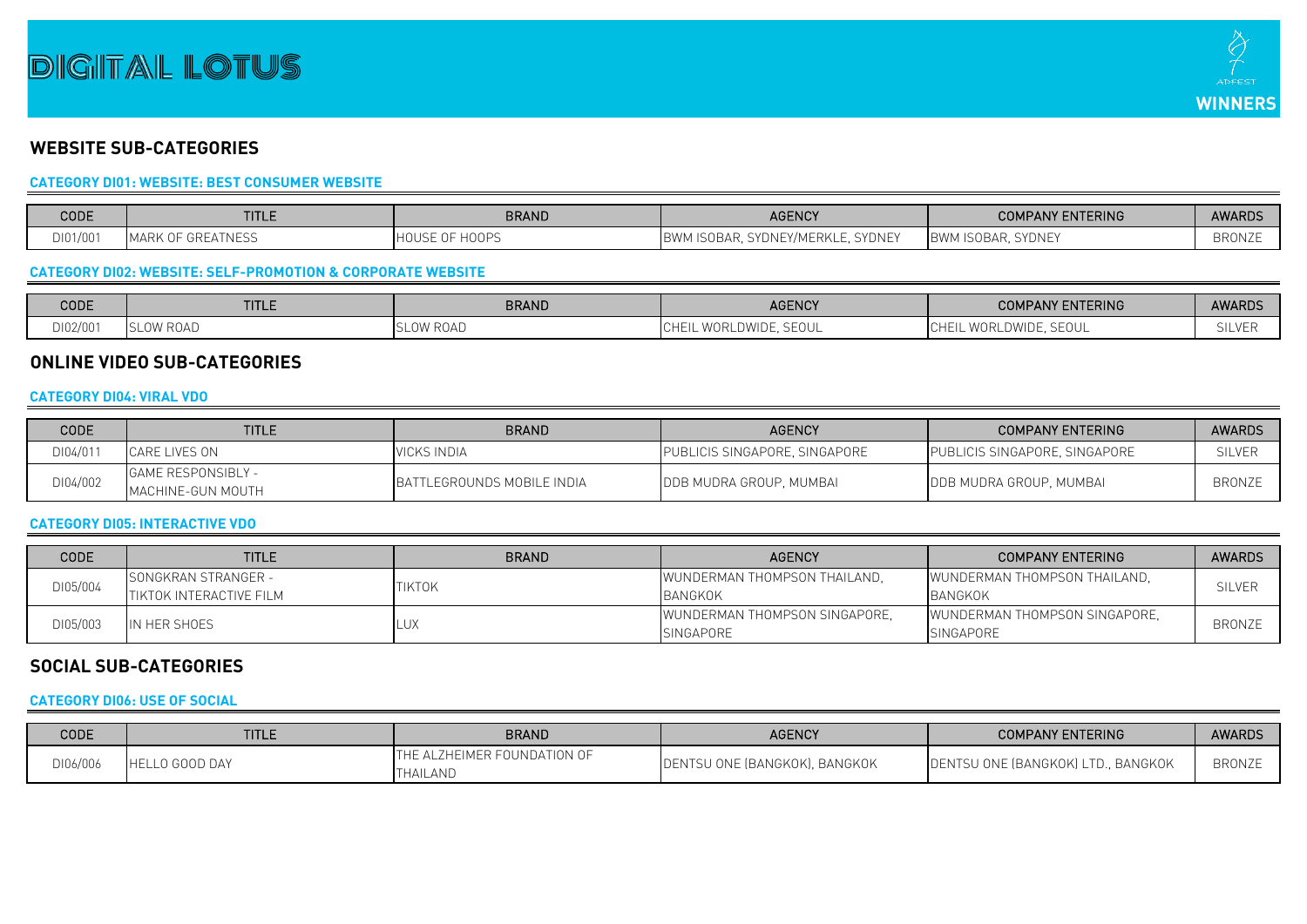## **DIGITAIL LOTUS**



### **WEBSITE SUB-CATEGORIES**

#### **CATEGORY DI01: WEBSITE: BEST CONSUMER WEBSITE**

| CODE     | <b>TITLE</b>                   | BRAND                          | <b>AGENCY</b>                                 | <b>COMPANY ENTERING</b>                      | <b>AWARDS</b> |
|----------|--------------------------------|--------------------------------|-----------------------------------------------|----------------------------------------------|---------------|
| DI01/001 | MARK OF<br><b>TH GREATNESU</b> | 0.000<br>ਾ HOUSE ∪.<br>1 V V 1 | ., SYDNEY/MERKLE, SYDNEY<br>'M ISOBAR,<br>BWM | <b>SYDNEY</b><br><b>IBWM IS</b><br>1 ISOBAR. | <b>BRONZE</b> |

#### **CATEGORY DI02: WEBSITE: SELF-PROMOTION & CORPORATE WEBSITE**

| CODE     | <b>TITLE</b> | <b>BRAND</b>       | <b>AGENCY</b>                     | PANY ENTERING<br><b>COMF</b>                      | <b>AWARDS</b> |
|----------|--------------|--------------------|-----------------------------------|---------------------------------------------------|---------------|
| DI02/001 | ' KUAD       | ' Kual<br>$\cup$ v | <b>SEOUL</b><br>WURL<br>、LDVVIDL. | $\bigcap$<br>'' WORLDWIDE.<br>!∪H∟<br>--<br>JLVVL | <b>SILVER</b> |

#### **ONLINE VIDEO SUB-CATEGORIES**

#### **CATEGORY DI04: VIRAL VDO**

| CODE     | <b>TITLE</b>                                   | <b>BRAND</b>               | <b>AGENCY</b>                 | <b>COMPANY ENTERING</b>         | <b>AWARDS</b> |
|----------|------------------------------------------------|----------------------------|-------------------------------|---------------------------------|---------------|
| DI04/011 | CARE LIVES ON                                  | <b>VICKS INDIA</b>         | PUBLICIS SINGAPORE, SINGAPORE | PUBLICIS SINGAPORE, SINGAPORE   | <b>SILVER</b> |
| DI04/002 | <b>GAME RESPONSIBLY -</b><br>MACHINE-GUN MOUTH | BATTLEGROUNDS MOBILE INDIA | DDB MUDRA GROUP, MUMBAI       | <b>IDDB MUDRA GROUP, MUMBAI</b> | <b>BRONZE</b> |

#### **CATEGORY DI05: INTERACTIVE VDO**

| CODE     | <b>TITLE</b>                                                  | <b>BRAND</b>  | <b>AGENCY</b>                                              | <b>COMPANY ENTERING</b>                           | <b>AWARDS</b> |
|----------|---------------------------------------------------------------|---------------|------------------------------------------------------------|---------------------------------------------------|---------------|
| DI05/004 | <b>SONGKRAN STRANGER -</b><br><b>ITIKTOK INTERACTIVE FILM</b> | <b>TIKTOK</b> | WUNDERMAN THOMPSON THAILAND.<br>BANGKOK                    | WUNDERMAN THOMPSON THAILAND.<br><b>BANGKOK</b>    | <b>SILVEF</b> |
| DI05/003 | IN HER SHOES                                                  | _U)           | <b>I</b> WUNDERMAN THOMPSON SINGAPORE.<br><b>SINGAPORE</b> | WUNDERMAN THOMPSON SINGAPORE.<br><b>SINGAPORE</b> | <b>BRONZE</b> |

#### **SOCIAL SUB-CATEGORIES**

#### **CATEGORY DI06: USE OF SOCIAL**

| <b>CODE</b> | <b>TITLE</b>              | <b>BRAND</b>                            | <b>AGENCY</b>                 | <b>COMPANY ENTERING</b>            | <b>AWARDS</b> |
|-------------|---------------------------|-----------------------------------------|-------------------------------|------------------------------------|---------------|
| DI06/006    | LO GOOD DAY<br><b>IHE</b> | THE ALZHEIMER FOUNDATION OF<br>THAILAND | DENTSU ONE (BANGKOK), BANGKOK | DENTSU ONE (BANGKOK) LTD., BANGKOK | <b>BRONZE</b> |